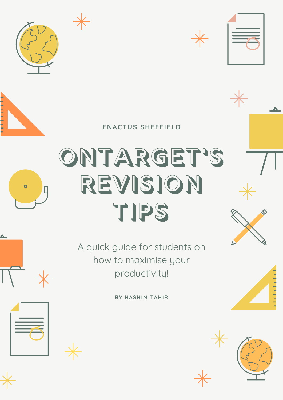### **ENACTUS SHEFFIELD**











## ONTARGET'S REVISION





**BY HASHIM TAHIR**









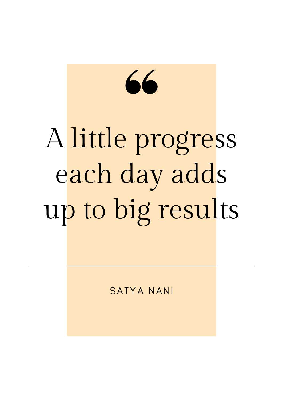# 66 A little progress each day adds up to big results

## SATYA NANI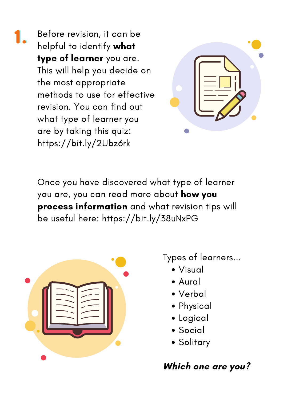Before revision, it can be helpful to identify what type of learner you are. This will help you decide on the most appropriate methods to use for effective revision. You can find out what type of learner you are by taking this quiz: https://bit.ly/2Ubz6rk 1.



Once you have discovered what type of learner you are, you can read more about how you process information and what revision tips will

be useful here: https://bit.ly/38uNxPG



- Visual
- Aural
- Verbal
- Physical
- Logical
- Social
- Solitary

Types of learners...

## Which one are you?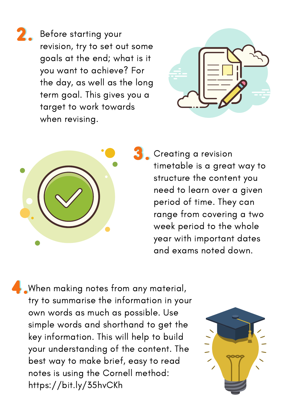Before starting your revision, try to set out some goals at the end; what is it you want to achieve? For the day, as well as the long term goal. This gives you a target to work towards when revising. 2.





Creating a revision timetable is a great way to structure the content you need to learn over a given period of time. They can range from covering a two week period to the whole year with important dates and exams noted down. 3.

When making notes from any material, try to summarise the information in your own words as much as possible. Use simple words and shorthand to get the key information. This will help to build your understanding of the content. The best way to make brief, easy to read notes is using the Cornell method: https://bit.ly/35hvCKh 4.

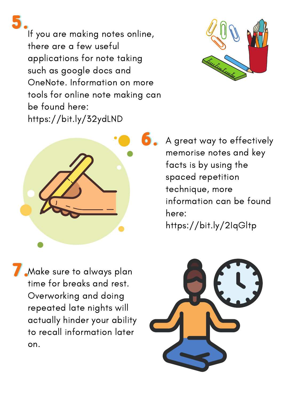If you are making notes online, there are a few useful applications for note taking such as google docs and OneNote. Information on more tools for online note making can be found here: https://bit.ly/32ydLND



A great way to effectively memorise notes and key facts is by using the spaced repetition technique, more information can be found here: https://bit.ly/2IqGltp

Make sure to always plan time for breaks and rest. Overworking and doing repeated late nights will actually hinder your ability to recall information later on. 7.



5.